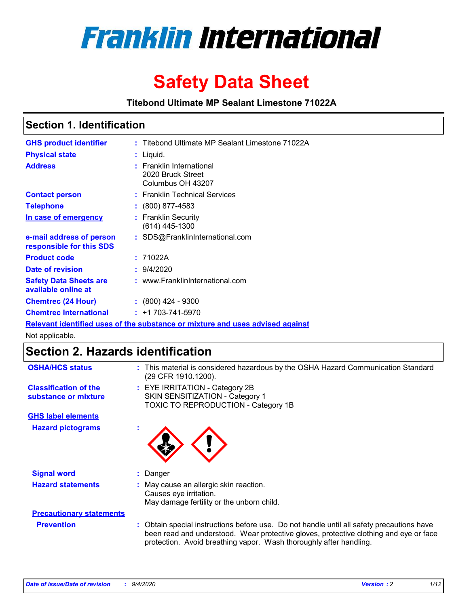

# **Safety Data Sheet**

**Titebond Ultimate MP Sealant Limestone 71022A**

### **Section 1. Identification**

| <b>GHS product identifier</b>                        | : Titebond Ultimate MP Sealant Limestone 71022A                               |
|------------------------------------------------------|-------------------------------------------------------------------------------|
| <b>Physical state</b>                                | : Liquid.                                                                     |
| <b>Address</b>                                       | : Franklin International<br>2020 Bruck Street<br>Columbus OH 43207            |
| <b>Contact person</b>                                | : Franklin Technical Services                                                 |
| <b>Telephone</b>                                     | : (800) 877-4583                                                              |
| In case of emergency                                 | : Franklin Security<br>(614) 445-1300                                         |
| e-mail address of person<br>responsible for this SDS | : SDS@FranklinInternational.com                                               |
| <b>Product code</b>                                  | : 71022A                                                                      |
| Date of revision                                     | : 9/4/2020                                                                    |
| <b>Safety Data Sheets are</b><br>available online at | : www.FranklinInternational.com                                               |
| <b>Chemtrec (24 Hour)</b>                            | $: (800)$ 424 - 9300                                                          |
| <b>Chemtrec International</b>                        | $: +1703 - 741 - 5970$                                                        |
|                                                      | Relevant identified uses of the substance or mixture and uses advised against |

Not applicable.

## **Section 2. Hazards identification**

| <b>OSHA/HCS status</b>                               |    | : This material is considered hazardous by the OSHA Hazard Communication Standard<br>(29 CFR 1910.1200).                                                                                                                                                 |
|------------------------------------------------------|----|----------------------------------------------------------------------------------------------------------------------------------------------------------------------------------------------------------------------------------------------------------|
| <b>Classification of the</b><br>substance or mixture |    | : EYE IRRITATION - Category 2B<br>SKIN SENSITIZATION - Category 1<br>TOXIC TO REPRODUCTION - Category 1B                                                                                                                                                 |
| <b>GHS label elements</b>                            |    |                                                                                                                                                                                                                                                          |
| <b>Hazard pictograms</b>                             | ٠  |                                                                                                                                                                                                                                                          |
| <b>Signal word</b>                                   | ÷. | Danger                                                                                                                                                                                                                                                   |
| <b>Hazard statements</b>                             |    | May cause an allergic skin reaction.<br>Causes eye irritation.<br>May damage fertility or the unborn child.                                                                                                                                              |
| <b>Precautionary statements</b>                      |    |                                                                                                                                                                                                                                                          |
| <b>Prevention</b>                                    |    | : Obtain special instructions before use. Do not handle until all safety precautions have<br>been read and understood. Wear protective gloves, protective clothing and eye or face<br>protection. Avoid breathing vapor. Wash thoroughly after handling. |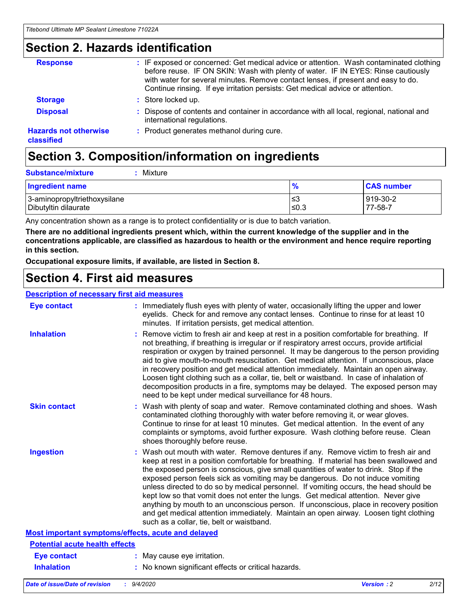### **Section 2. Hazards identification**

| <b>Response</b>                            | : IF exposed or concerned: Get medical advice or attention. Wash contaminated clothing<br>before reuse. IF ON SKIN: Wash with plenty of water. IF IN EYES: Rinse cautiously<br>with water for several minutes. Remove contact lenses, if present and easy to do.<br>Continue rinsing. If eye irritation persists: Get medical advice or attention. |
|--------------------------------------------|----------------------------------------------------------------------------------------------------------------------------------------------------------------------------------------------------------------------------------------------------------------------------------------------------------------------------------------------------|
| <b>Storage</b>                             | : Store locked up.                                                                                                                                                                                                                                                                                                                                 |
| <b>Disposal</b>                            | : Dispose of contents and container in accordance with all local, regional, national and<br>international regulations.                                                                                                                                                                                                                             |
| <b>Hazards not otherwise</b><br>classified | : Product generates methanol during cure.                                                                                                                                                                                                                                                                                                          |

## **Section 3. Composition/information on ingredients**

| $:$ Mixture |
|-------------|
|             |

| <b>Ingredient name</b>       | $\mathbf{0}$<br>70 | <b>CAS number</b> |
|------------------------------|--------------------|-------------------|
| 3-aminopropyltriethoxysilane | צ≥                 | 919-30-2          |
| Dibutyltin dilaurate         | ∣≤0.3              | 77-58-7           |

Any concentration shown as a range is to protect confidentiality or is due to batch variation.

**There are no additional ingredients present which, within the current knowledge of the supplier and in the concentrations applicable, are classified as hazardous to health or the environment and hence require reporting in this section.**

**Occupational exposure limits, if available, are listed in Section 8.**

### **Section 4. First aid measures**

| <b>Description of necessary first aid measures</b> |                                                                                                                                                                                                                                                                                                                                                                                                                                                                                                                                                                                                                                                                                                                                                                           |
|----------------------------------------------------|---------------------------------------------------------------------------------------------------------------------------------------------------------------------------------------------------------------------------------------------------------------------------------------------------------------------------------------------------------------------------------------------------------------------------------------------------------------------------------------------------------------------------------------------------------------------------------------------------------------------------------------------------------------------------------------------------------------------------------------------------------------------------|
| <b>Eye contact</b>                                 | : Immediately flush eyes with plenty of water, occasionally lifting the upper and lower<br>eyelids. Check for and remove any contact lenses. Continue to rinse for at least 10<br>minutes. If irritation persists, get medical attention.                                                                                                                                                                                                                                                                                                                                                                                                                                                                                                                                 |
| <b>Inhalation</b>                                  | : Remove victim to fresh air and keep at rest in a position comfortable for breathing. If<br>not breathing, if breathing is irregular or if respiratory arrest occurs, provide artificial<br>respiration or oxygen by trained personnel. It may be dangerous to the person providing<br>aid to give mouth-to-mouth resuscitation. Get medical attention. If unconscious, place<br>in recovery position and get medical attention immediately. Maintain an open airway.<br>Loosen tight clothing such as a collar, tie, belt or waistband. In case of inhalation of<br>decomposition products in a fire, symptoms may be delayed. The exposed person may<br>need to be kept under medical surveillance for 48 hours.                                                       |
| <b>Skin contact</b>                                | : Wash with plenty of soap and water. Remove contaminated clothing and shoes. Wash<br>contaminated clothing thoroughly with water before removing it, or wear gloves.<br>Continue to rinse for at least 10 minutes. Get medical attention. In the event of any<br>complaints or symptoms, avoid further exposure. Wash clothing before reuse. Clean<br>shoes thoroughly before reuse.                                                                                                                                                                                                                                                                                                                                                                                     |
| <b>Ingestion</b>                                   | : Wash out mouth with water. Remove dentures if any. Remove victim to fresh air and<br>keep at rest in a position comfortable for breathing. If material has been swallowed and<br>the exposed person is conscious, give small quantities of water to drink. Stop if the<br>exposed person feels sick as vomiting may be dangerous. Do not induce vomiting<br>unless directed to do so by medical personnel. If vomiting occurs, the head should be<br>kept low so that vomit does not enter the lungs. Get medical attention. Never give<br>anything by mouth to an unconscious person. If unconscious, place in recovery position<br>and get medical attention immediately. Maintain an open airway. Loosen tight clothing<br>such as a collar, tie, belt or waistband. |
| Most important symptoms/effects, acute and delayed |                                                                                                                                                                                                                                                                                                                                                                                                                                                                                                                                                                                                                                                                                                                                                                           |
| <b>Potential acute health effects</b>              |                                                                                                                                                                                                                                                                                                                                                                                                                                                                                                                                                                                                                                                                                                                                                                           |
| <b>Eye contact</b>                                 | : May cause eye irritation.                                                                                                                                                                                                                                                                                                                                                                                                                                                                                                                                                                                                                                                                                                                                               |
| <b>Inhalation</b>                                  | : No known significant effects or critical hazards.                                                                                                                                                                                                                                                                                                                                                                                                                                                                                                                                                                                                                                                                                                                       |
|                                                    |                                                                                                                                                                                                                                                                                                                                                                                                                                                                                                                                                                                                                                                                                                                                                                           |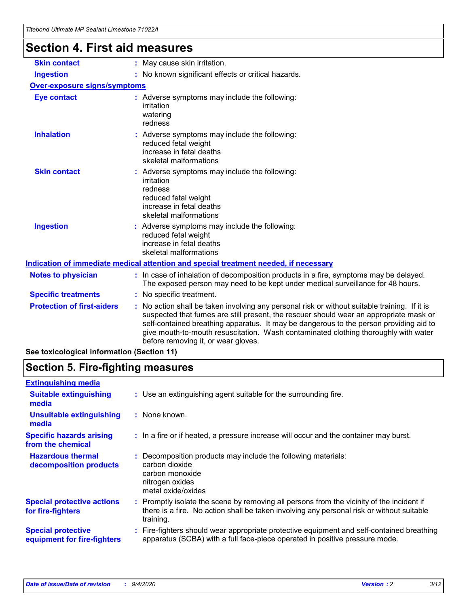## **Section 4. First aid measures**

| <b>Skin contact</b>                 | : May cause skin irritation.                                                                                                                                                                                                                                                                                                                                                                                    |  |  |
|-------------------------------------|-----------------------------------------------------------------------------------------------------------------------------------------------------------------------------------------------------------------------------------------------------------------------------------------------------------------------------------------------------------------------------------------------------------------|--|--|
| <b>Ingestion</b>                    | : No known significant effects or critical hazards.                                                                                                                                                                                                                                                                                                                                                             |  |  |
| <b>Over-exposure signs/symptoms</b> |                                                                                                                                                                                                                                                                                                                                                                                                                 |  |  |
| <b>Eye contact</b>                  | : Adverse symptoms may include the following:<br>irritation<br>watering<br>redness                                                                                                                                                                                                                                                                                                                              |  |  |
| <b>Inhalation</b>                   | : Adverse symptoms may include the following:<br>reduced fetal weight<br>increase in fetal deaths<br>skeletal malformations                                                                                                                                                                                                                                                                                     |  |  |
| <b>Skin contact</b>                 | : Adverse symptoms may include the following:<br>irritation<br>redness<br>reduced fetal weight<br>increase in fetal deaths<br>skeletal malformations                                                                                                                                                                                                                                                            |  |  |
| <b>Ingestion</b>                    | : Adverse symptoms may include the following:<br>reduced fetal weight<br>increase in fetal deaths<br>skeletal malformations                                                                                                                                                                                                                                                                                     |  |  |
|                                     | <u>Indication of immediate medical attention and special treatment needed, if necessary</u>                                                                                                                                                                                                                                                                                                                     |  |  |
| <b>Notes to physician</b>           | : In case of inhalation of decomposition products in a fire, symptoms may be delayed.<br>The exposed person may need to be kept under medical surveillance for 48 hours.                                                                                                                                                                                                                                        |  |  |
| <b>Specific treatments</b>          | : No specific treatment.                                                                                                                                                                                                                                                                                                                                                                                        |  |  |
| <b>Protection of first-aiders</b>   | : No action shall be taken involving any personal risk or without suitable training. If it is<br>suspected that fumes are still present, the rescuer should wear an appropriate mask or<br>self-contained breathing apparatus. It may be dangerous to the person providing aid to<br>give mouth-to-mouth resuscitation. Wash contaminated clothing thoroughly with water<br>before removing it, or wear gloves. |  |  |
|                                     |                                                                                                                                                                                                                                                                                                                                                                                                                 |  |  |

**See toxicological information (Section 11)**

## **Section 5. Fire-fighting measures**

| <b>Extinguishing media</b>                               |                                                                                                                                                                                                     |
|----------------------------------------------------------|-----------------------------------------------------------------------------------------------------------------------------------------------------------------------------------------------------|
| <b>Suitable extinguishing</b><br>media                   | : Use an extinguishing agent suitable for the surrounding fire.                                                                                                                                     |
| <b>Unsuitable extinguishing</b><br>media                 | : None known.                                                                                                                                                                                       |
| <b>Specific hazards arising</b><br>from the chemical     | : In a fire or if heated, a pressure increase will occur and the container may burst.                                                                                                               |
| <b>Hazardous thermal</b><br>decomposition products       | Decomposition products may include the following materials:<br>carbon dioxide<br>carbon monoxide<br>nitrogen oxides<br>metal oxide/oxides                                                           |
| <b>Special protective actions</b><br>for fire-fighters   | : Promptly isolate the scene by removing all persons from the vicinity of the incident if<br>there is a fire. No action shall be taken involving any personal risk or without suitable<br>training. |
| <b>Special protective</b><br>equipment for fire-fighters | : Fire-fighters should wear appropriate protective equipment and self-contained breathing<br>apparatus (SCBA) with a full face-piece operated in positive pressure mode.                            |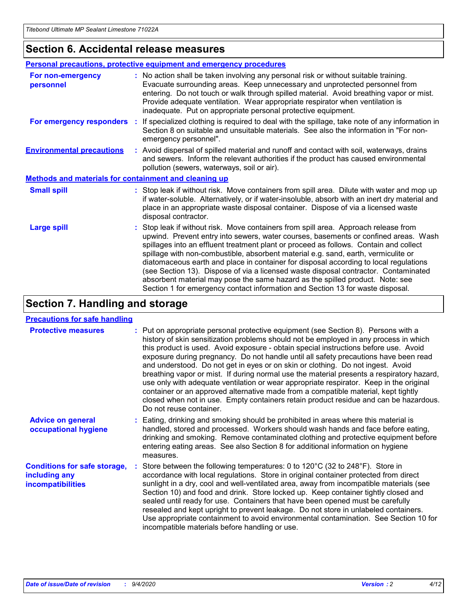### **Section 6. Accidental release measures**

|                                                              | Personal precautions, protective equipment and emergency procedures                                                                                                                                                                                                                                                                                                                                                                                                                                                                                                                                                                                                                                          |
|--------------------------------------------------------------|--------------------------------------------------------------------------------------------------------------------------------------------------------------------------------------------------------------------------------------------------------------------------------------------------------------------------------------------------------------------------------------------------------------------------------------------------------------------------------------------------------------------------------------------------------------------------------------------------------------------------------------------------------------------------------------------------------------|
| For non-emergency<br>personnel                               | : No action shall be taken involving any personal risk or without suitable training.<br>Evacuate surrounding areas. Keep unnecessary and unprotected personnel from<br>entering. Do not touch or walk through spilled material. Avoid breathing vapor or mist.<br>Provide adequate ventilation. Wear appropriate respirator when ventilation is<br>inadequate. Put on appropriate personal protective equipment.                                                                                                                                                                                                                                                                                             |
| For emergency responders                                     | : If specialized clothing is required to deal with the spillage, take note of any information in<br>Section 8 on suitable and unsuitable materials. See also the information in "For non-<br>emergency personnel".                                                                                                                                                                                                                                                                                                                                                                                                                                                                                           |
| <b>Environmental precautions</b>                             | : Avoid dispersal of spilled material and runoff and contact with soil, waterways, drains<br>and sewers. Inform the relevant authorities if the product has caused environmental<br>pollution (sewers, waterways, soil or air).                                                                                                                                                                                                                                                                                                                                                                                                                                                                              |
| <b>Methods and materials for containment and cleaning up</b> |                                                                                                                                                                                                                                                                                                                                                                                                                                                                                                                                                                                                                                                                                                              |
| <b>Small spill</b>                                           | : Stop leak if without risk. Move containers from spill area. Dilute with water and mop up<br>if water-soluble. Alternatively, or if water-insoluble, absorb with an inert dry material and<br>place in an appropriate waste disposal container. Dispose of via a licensed waste<br>disposal contractor.                                                                                                                                                                                                                                                                                                                                                                                                     |
| <b>Large spill</b>                                           | : Stop leak if without risk. Move containers from spill area. Approach release from<br>upwind. Prevent entry into sewers, water courses, basements or confined areas. Wash<br>spillages into an effluent treatment plant or proceed as follows. Contain and collect<br>spillage with non-combustible, absorbent material e.g. sand, earth, vermiculite or<br>diatomaceous earth and place in container for disposal according to local regulations<br>(see Section 13). Dispose of via a licensed waste disposal contractor. Contaminated<br>absorbent material may pose the same hazard as the spilled product. Note: see<br>Section 1 for emergency contact information and Section 13 for waste disposal. |

## **Section 7. Handling and storage**

### **Precautions for safe handling**

| <b>Protective measures</b>                                                       | : Put on appropriate personal protective equipment (see Section 8). Persons with a<br>history of skin sensitization problems should not be employed in any process in which<br>this product is used. Avoid exposure - obtain special instructions before use. Avoid<br>exposure during pregnancy. Do not handle until all safety precautions have been read<br>and understood. Do not get in eyes or on skin or clothing. Do not ingest. Avoid<br>breathing vapor or mist. If during normal use the material presents a respiratory hazard,<br>use only with adequate ventilation or wear appropriate respirator. Keep in the original<br>container or an approved alternative made from a compatible material, kept tightly<br>closed when not in use. Empty containers retain product residue and can be hazardous.<br>Do not reuse container. |
|----------------------------------------------------------------------------------|--------------------------------------------------------------------------------------------------------------------------------------------------------------------------------------------------------------------------------------------------------------------------------------------------------------------------------------------------------------------------------------------------------------------------------------------------------------------------------------------------------------------------------------------------------------------------------------------------------------------------------------------------------------------------------------------------------------------------------------------------------------------------------------------------------------------------------------------------|
| <b>Advice on general</b><br>occupational hygiene                                 | : Eating, drinking and smoking should be prohibited in areas where this material is<br>handled, stored and processed. Workers should wash hands and face before eating,<br>drinking and smoking. Remove contaminated clothing and protective equipment before<br>entering eating areas. See also Section 8 for additional information on hygiene<br>measures.                                                                                                                                                                                                                                                                                                                                                                                                                                                                                    |
| <b>Conditions for safe storage,</b><br>including any<br><i>incompatibilities</i> | Store between the following temperatures: 0 to 120°C (32 to 248°F). Store in<br>accordance with local regulations. Store in original container protected from direct<br>sunlight in a dry, cool and well-ventilated area, away from incompatible materials (see<br>Section 10) and food and drink. Store locked up. Keep container tightly closed and<br>sealed until ready for use. Containers that have been opened must be carefully<br>resealed and kept upright to prevent leakage. Do not store in unlabeled containers.<br>Use appropriate containment to avoid environmental contamination. See Section 10 for<br>incompatible materials before handling or use.                                                                                                                                                                         |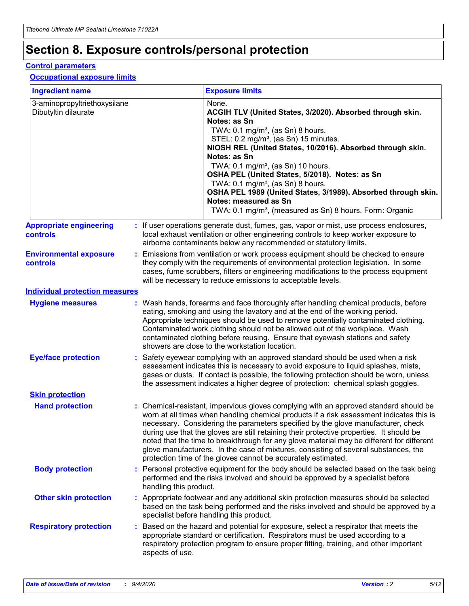## **Section 8. Exposure controls/personal protection**

### **Control parameters**

### **Occupational exposure limits**

| <b>Ingredient name</b>                               |    |                        | <b>Exposure limits</b>                                                                                                                                                                                                                                                                                                                                                                                                                                                                                                                                                                                                 |
|------------------------------------------------------|----|------------------------|------------------------------------------------------------------------------------------------------------------------------------------------------------------------------------------------------------------------------------------------------------------------------------------------------------------------------------------------------------------------------------------------------------------------------------------------------------------------------------------------------------------------------------------------------------------------------------------------------------------------|
| 3-aminopropyltriethoxysilane<br>Dibutyltin dilaurate |    |                        | None.<br>ACGIH TLV (United States, 3/2020). Absorbed through skin.<br>Notes: as Sn<br>TWA: 0.1 mg/m <sup>3</sup> , (as Sn) 8 hours.<br>STEL: 0.2 mg/m <sup>3</sup> , (as Sn) 15 minutes.<br>NIOSH REL (United States, 10/2016). Absorbed through skin.<br>Notes: as Sn<br>TWA: 0.1 mg/m <sup>3</sup> , (as Sn) 10 hours.<br>OSHA PEL (United States, 5/2018). Notes: as Sn<br>TWA: $0.1 \text{ mg/m}^3$ , (as Sn) 8 hours.<br>OSHA PEL 1989 (United States, 3/1989). Absorbed through skin.<br>Notes: measured as Sn<br>TWA: 0.1 mg/m <sup>3</sup> , (measured as Sn) 8 hours. Form: Organic                           |
| <b>Appropriate engineering</b><br>controls           |    |                        | : If user operations generate dust, fumes, gas, vapor or mist, use process enclosures,<br>local exhaust ventilation or other engineering controls to keep worker exposure to<br>airborne contaminants below any recommended or statutory limits.                                                                                                                                                                                                                                                                                                                                                                       |
| <b>Environmental exposure</b><br><b>controls</b>     |    |                        | Emissions from ventilation or work process equipment should be checked to ensure<br>they comply with the requirements of environmental protection legislation. In some<br>cases, fume scrubbers, filters or engineering modifications to the process equipment<br>will be necessary to reduce emissions to acceptable levels.                                                                                                                                                                                                                                                                                          |
| <b>Individual protection measures</b>                |    |                        |                                                                                                                                                                                                                                                                                                                                                                                                                                                                                                                                                                                                                        |
| <b>Hygiene measures</b>                              |    |                        | : Wash hands, forearms and face thoroughly after handling chemical products, before<br>eating, smoking and using the lavatory and at the end of the working period.<br>Appropriate techniques should be used to remove potentially contaminated clothing.<br>Contaminated work clothing should not be allowed out of the workplace. Wash<br>contaminated clothing before reusing. Ensure that eyewash stations and safety<br>showers are close to the workstation location.                                                                                                                                            |
| <b>Eye/face protection</b>                           |    |                        | : Safety eyewear complying with an approved standard should be used when a risk<br>assessment indicates this is necessary to avoid exposure to liquid splashes, mists,<br>gases or dusts. If contact is possible, the following protection should be worn, unless<br>the assessment indicates a higher degree of protection: chemical splash goggles.                                                                                                                                                                                                                                                                  |
| <b>Skin protection</b>                               |    |                        |                                                                                                                                                                                                                                                                                                                                                                                                                                                                                                                                                                                                                        |
| <b>Hand protection</b>                               |    |                        | : Chemical-resistant, impervious gloves complying with an approved standard should be<br>worn at all times when handling chemical products if a risk assessment indicates this is<br>necessary. Considering the parameters specified by the glove manufacturer, check<br>during use that the gloves are still retaining their protective properties. It should be<br>noted that the time to breakthrough for any glove material may be different for different<br>glove manufacturers. In the case of mixtures, consisting of several substances, the<br>protection time of the gloves cannot be accurately estimated. |
| <b>Body protection</b>                               |    | handling this product. | Personal protective equipment for the body should be selected based on the task being<br>performed and the risks involved and should be approved by a specialist before                                                                                                                                                                                                                                                                                                                                                                                                                                                |
| <b>Other skin protection</b>                         |    |                        | : Appropriate footwear and any additional skin protection measures should be selected<br>based on the task being performed and the risks involved and should be approved by a<br>specialist before handling this product.                                                                                                                                                                                                                                                                                                                                                                                              |
| <b>Respiratory protection</b>                        | ÷. | aspects of use.        | Based on the hazard and potential for exposure, select a respirator that meets the<br>appropriate standard or certification. Respirators must be used according to a<br>respiratory protection program to ensure proper fitting, training, and other important                                                                                                                                                                                                                                                                                                                                                         |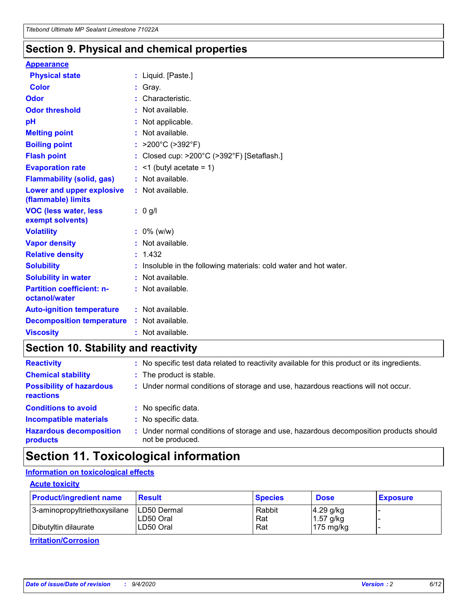### **Section 9. Physical and chemical properties**

### **Appearance**

| <b>Physical state</b>                            | : Liquid. [Paste.]                                              |
|--------------------------------------------------|-----------------------------------------------------------------|
| Color                                            | Gray.                                                           |
| Odor                                             | Characteristic.                                                 |
| <b>Odor threshold</b>                            | $:$ Not available.                                              |
| рH                                               | : Not applicable.                                               |
| <b>Melting point</b>                             | : Not available.                                                |
| <b>Boiling point</b>                             | : $>200^{\circ}$ C ( $>392^{\circ}$ F)                          |
| <b>Flash point</b>                               | : Closed cup: >200°C (>392°F) [Setaflash.]                      |
| <b>Evaporation rate</b>                          | $:$ <1 (butyl acetate = 1)                                      |
| <b>Flammability (solid, gas)</b>                 | : Not available.                                                |
| Lower and upper explosive<br>(flammable) limits  | : Not available.                                                |
| <b>VOC (less water, less</b><br>exempt solvents) | : 0 g/l                                                         |
| <b>Volatility</b>                                | $: 0\%$ (w/w)                                                   |
| <b>Vapor density</b>                             | : Not available.                                                |
| <b>Relative density</b>                          | : 1.432                                                         |
| <b>Solubility</b>                                | Insoluble in the following materials: cold water and hot water. |
| <b>Solubility in water</b>                       | : Not available.                                                |
| <b>Partition coefficient: n-</b>                 | : Not available.                                                |
| octanol/water                                    |                                                                 |
| <b>Auto-ignition temperature</b>                 | : Not available.                                                |
| <b>Decomposition temperature</b>                 | : Not available.                                                |

## **Section 10. Stability and reactivity**

| <b>Reactivity</b>                            | : No specific test data related to reactivity available for this product or its ingredients.            |
|----------------------------------------------|---------------------------------------------------------------------------------------------------------|
| <b>Chemical stability</b>                    | : The product is stable.                                                                                |
| <b>Possibility of hazardous</b><br>reactions | : Under normal conditions of storage and use, hazardous reactions will not occur.                       |
| <b>Conditions to avoid</b>                   | : No specific data.                                                                                     |
| <b>Incompatible materials</b>                | : No specific data.                                                                                     |
| <b>Hazardous decomposition</b><br>products   | Under normal conditions of storage and use, hazardous decomposition products should<br>not be produced. |

## **Section 11. Toxicological information**

### **Information on toxicological effects**

### **Acute toxicity**

| <b>Product/ingredient name</b> | <b>Result</b>           | <b>Species</b> | <b>Dose</b>                | <b>Exposure</b> |
|--------------------------------|-------------------------|----------------|----------------------------|-----------------|
| 3-aminopropyltriethoxysilane   | <b>ILD50 Dermal</b>     | Rabbit         | 4.29 g/kg                  |                 |
| Dibutyltin dilaurate           | ILD50 Oral<br>LD50 Oral | Rat<br>Rat     | $1.57$ g/kg<br>175 $mg/kg$ |                 |
|                                |                         |                |                            |                 |

**Irritation/Corrosion**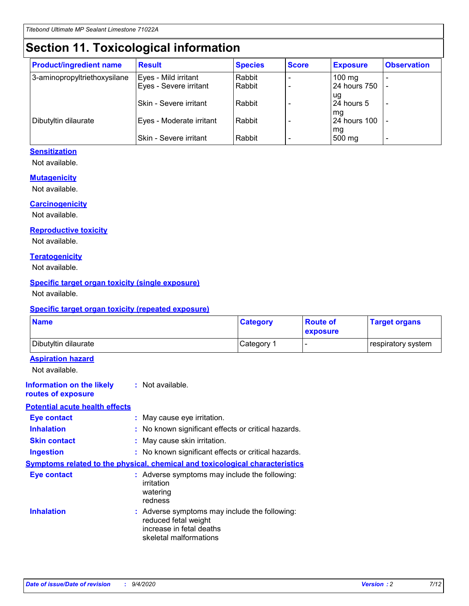## **Section 11. Toxicological information**

| <b>Product/ingredient name</b> | <b>Result</b>            | <b>Species</b> | <b>Score</b> | <b>Exposure</b>           | <b>Observation</b> |
|--------------------------------|--------------------------|----------------|--------------|---------------------------|--------------------|
| 3-aminopropyltriethoxysilane   | Eyes - Mild irritant     | Rabbit         |              | $100 \text{ mg}$          |                    |
|                                | Eyes - Severe irritant   | Rabbit         |              | 24 hours 750              |                    |
|                                |                          |                |              | ug                        |                    |
|                                | Skin - Severe irritant   | Rabbit         |              | 24 hours 5                | -                  |
| Dibutyltin dilaurate           | Eyes - Moderate irritant | Rabbit         |              | mq<br><b>24 hours 100</b> |                    |
|                                |                          |                |              | mg                        |                    |
|                                | Skin - Severe irritant   | Rabbit         |              | 500 mg                    |                    |

### **Sensitization**

Not available.

### **Mutagenicity**

Not available.

### **Carcinogenicity**

Not available.

#### **Reproductive toxicity**

Not available.

### **Teratogenicity**

Not available.

### **Specific target organ toxicity (single exposure)**

Not available.

### **Specific target organ toxicity (repeated exposure)**

| <b>Name</b>                                                                  |                                                                            | <b>Category</b>                                     | <b>Route of</b><br>exposure | <b>Target organs</b> |  |
|------------------------------------------------------------------------------|----------------------------------------------------------------------------|-----------------------------------------------------|-----------------------------|----------------------|--|
| Dibutyltin dilaurate                                                         |                                                                            | Category 1                                          | -                           | respiratory system   |  |
| <b>Aspiration hazard</b><br>Not available.                                   |                                                                            |                                                     |                             |                      |  |
| <b>Information on the likely</b><br>routes of exposure                       | : Not available.                                                           |                                                     |                             |                      |  |
| <b>Potential acute health effects</b>                                        |                                                                            |                                                     |                             |                      |  |
| <b>Eye contact</b>                                                           | : May cause eye irritation.                                                |                                                     |                             |                      |  |
| <b>Inhalation</b>                                                            |                                                                            | : No known significant effects or critical hazards. |                             |                      |  |
| <b>Skin contact</b>                                                          |                                                                            | : May cause skin irritation.                        |                             |                      |  |
| <b>Ingestion</b>                                                             |                                                                            | : No known significant effects or critical hazards. |                             |                      |  |
| Symptoms related to the physical, chemical and toxicological characteristics |                                                                            |                                                     |                             |                      |  |
| <b>Eye contact</b>                                                           | irritation<br>watering<br>redness                                          | : Adverse symptoms may include the following:       |                             |                      |  |
| <b>Inhalation</b>                                                            | reduced fetal weight<br>increase in fetal deaths<br>skeletal malformations | : Adverse symptoms may include the following:       |                             |                      |  |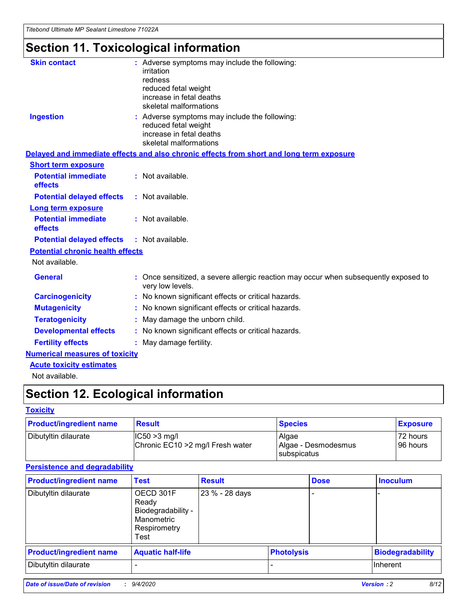## **Section 11. Toxicological information**

| <b>Skin contact</b>                     | : Adverse symptoms may include the following:                                                            |
|-----------------------------------------|----------------------------------------------------------------------------------------------------------|
|                                         | irritation                                                                                               |
|                                         | redness                                                                                                  |
|                                         | reduced fetal weight                                                                                     |
|                                         | increase in fetal deaths                                                                                 |
|                                         | skeletal malformations                                                                                   |
| <b>Ingestion</b>                        | : Adverse symptoms may include the following:                                                            |
|                                         | reduced fetal weight                                                                                     |
|                                         | increase in fetal deaths                                                                                 |
|                                         | skeletal malformations                                                                                   |
|                                         | Delayed and immediate effects and also chronic effects from short and long term exposure                 |
| <b>Short term exposure</b>              |                                                                                                          |
| <b>Potential immediate</b>              | : Not available.                                                                                         |
| effects                                 |                                                                                                          |
| <b>Potential delayed effects</b>        | : Not available.                                                                                         |
| Long term exposure                      |                                                                                                          |
| <b>Potential immediate</b>              | : Not available.                                                                                         |
| effects                                 |                                                                                                          |
| <b>Potential delayed effects</b>        | : Not available.                                                                                         |
| <b>Potential chronic health effects</b> |                                                                                                          |
| Not available.                          |                                                                                                          |
| <b>General</b>                          | : Once sensitized, a severe allergic reaction may occur when subsequently exposed to<br>very low levels. |
| <b>Carcinogenicity</b>                  | : No known significant effects or critical hazards.                                                      |
| <b>Mutagenicity</b>                     | : No known significant effects or critical hazards.                                                      |
| <b>Teratogenicity</b>                   | May damage the unborn child.                                                                             |
| <b>Developmental effects</b>            | : No known significant effects or critical hazards.                                                      |
| <b>Fertility effects</b>                | May damage fertility.                                                                                    |
| <b>Numerical measures of toxicity</b>   |                                                                                                          |
| <b>Acute toxicity estimates</b>         |                                                                                                          |
| الملحلة والمستحيط والمسالم              |                                                                                                          |

Not available.

## **Section 12. Ecological information**

### **Toxicity**

| <b>Product/ingredient name</b> | <b>Result</b>                                       | <b>Species</b>               | <b>Exposure</b>       |
|--------------------------------|-----------------------------------------------------|------------------------------|-----------------------|
| Dibutyltin dilaurate           | $ CC50>3$ mg/l<br>Chronic EC10 > 2 mg/l Fresh water | Algae<br>Algae - Desmodesmus | 72 hours<br>196 hours |
|                                |                                                     | <b>I</b> subspicatus         |                       |

### **Persistence and degradability**

| <b>Product/ingredient name</b> | <b>Test</b>                                                                    | <b>Result</b>  |                   | <b>Dose</b> | <b>Inoculum</b>         |
|--------------------------------|--------------------------------------------------------------------------------|----------------|-------------------|-------------|-------------------------|
| Dibutyltin dilaurate           | OECD 301F<br>Ready<br>Biodegradability -<br>Manometric<br>Respirometry<br>Test | 23 % - 28 days |                   |             |                         |
| <b>Product/ingredient name</b> | <b>Aquatic half-life</b>                                                       |                | <b>Photolysis</b> |             | <b>Biodegradability</b> |
| Dibutyltin dilaurate           |                                                                                |                |                   |             | <b>Inherent</b>         |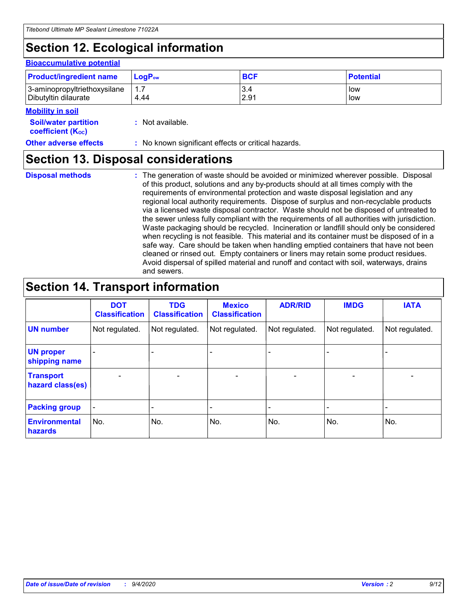## **Section 12. Ecological information**

#### **Bioaccumulative potential**

| <b>Product/ingredient name</b> | <b>LogP</b> <sub>ow</sub> | <b>BCF</b> | <b>Potential</b> |
|--------------------------------|---------------------------|------------|------------------|
| 3-aminopropyltriethoxysilane   | 1.7                       | 3.4        | low              |
| Dibutyltin dilaurate           | 4.44                      | 2.91       | low              |

#### **Mobility in soil**

| <b>Soil/water partition</b>    | : Not available. |
|--------------------------------|------------------|
| coefficient (K <sub>oc</sub> ) |                  |

**Other adverse effects** : No known significant effects or critical hazards.

### **Section 13. Disposal considerations**

**Disposal methods :**

The generation of waste should be avoided or minimized wherever possible. Disposal of this product, solutions and any by-products should at all times comply with the requirements of environmental protection and waste disposal legislation and any regional local authority requirements. Dispose of surplus and non-recyclable products via a licensed waste disposal contractor. Waste should not be disposed of untreated to the sewer unless fully compliant with the requirements of all authorities with jurisdiction. Waste packaging should be recycled. Incineration or landfill should only be considered when recycling is not feasible. This material and its container must be disposed of in a safe way. Care should be taken when handling emptied containers that have not been cleaned or rinsed out. Empty containers or liners may retain some product residues. Avoid dispersal of spilled material and runoff and contact with soil, waterways, drains and sewers.

### **Section 14. Transport information**

|                                      | <b>DOT</b><br><b>Classification</b> | <b>TDG</b><br><b>Classification</b> | <b>Mexico</b><br><b>Classification</b> | <b>ADR/RID</b>           | <b>IMDG</b>              | <b>IATA</b>    |
|--------------------------------------|-------------------------------------|-------------------------------------|----------------------------------------|--------------------------|--------------------------|----------------|
| <b>UN number</b>                     | Not regulated.                      | Not regulated.                      | Not regulated.                         | Not regulated.           | Not regulated.           | Not regulated. |
| <b>UN proper</b><br>shipping name    |                                     |                                     |                                        |                          |                          |                |
| <b>Transport</b><br>hazard class(es) |                                     | $\overline{\phantom{0}}$            | $\qquad \qquad \blacksquare$           | $\overline{\phantom{0}}$ | $\overline{\phantom{0}}$ |                |
| <b>Packing group</b>                 |                                     |                                     |                                        |                          |                          |                |
| <b>Environmental</b><br>hazards      | No.                                 | No.                                 | No.                                    | No.                      | No.                      | No.            |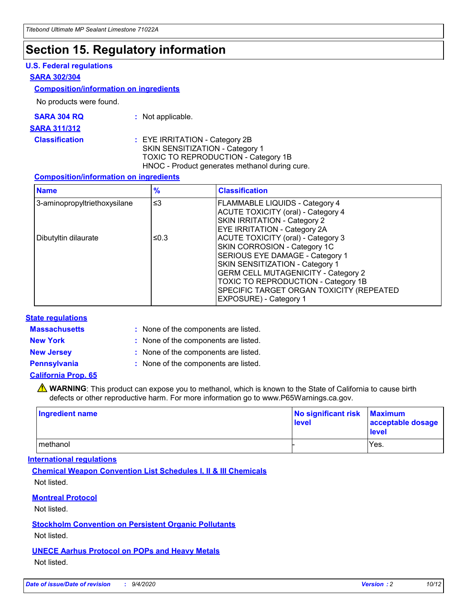## **Section 15. Regulatory information**

### **U.S. Federal regulations**

#### **SARA 302/304**

### **Composition/information on ingredients**

No products were found.

| SARA 304 RQ | Not applicable. |
|-------------|-----------------|
|-------------|-----------------|

#### **SARA 311/312**

**Classification :** EYE IRRITATION - Category 2B SKIN SENSITIZATION - Category 1 TOXIC TO REPRODUCTION - Category 1B HNOC - Product generates methanol during cure.

### **Composition/information on ingredients**

| <b>Name</b>                  | $\frac{9}{6}$ | <b>Classification</b>                                                                                                                                                                                                                                                                                      |
|------------------------------|---------------|------------------------------------------------------------------------------------------------------------------------------------------------------------------------------------------------------------------------------------------------------------------------------------------------------------|
| 3-aminopropyltriethoxysilane | $\leq$ 3      | <b>FLAMMABLE LIQUIDS - Category 4</b><br><b>ACUTE TOXICITY (oral) - Category 4</b><br><b>SKIN IRRITATION - Category 2</b><br>EYE IRRITATION - Category 2A                                                                                                                                                  |
| Dibutyltin dilaurate         | ≤0.3          | <b>ACUTE TOXICITY (oral) - Category 3</b><br>SKIN CORROSION - Category 1C<br>SERIOUS EYE DAMAGE - Category 1<br>SKIN SENSITIZATION - Category 1<br><b>GERM CELL MUTAGENICITY - Category 2</b><br>TOXIC TO REPRODUCTION - Category 1B<br>SPECIFIC TARGET ORGAN TOXICITY (REPEATED<br>EXPOSURE) - Category 1 |

### **State regulations**

**Massachusetts :**

: None of the components are listed.

**New York :** None of the components are listed.

**New Jersey :** None of the components are listed.

**Pennsylvania :** None of the components are listed.

### **California Prop. 65**

WARNING: This product can expose you to methanol, which is known to the State of California to cause birth defects or other reproductive harm. For more information go to www.P65Warnings.ca.gov.

| Ingredient name | No significant risk<br>level | <b>Maximum</b><br>acceptable dosage<br><b>level</b> |
|-----------------|------------------------------|-----------------------------------------------------|
| l methanol      |                              | Yes.                                                |

### **International regulations**

**Chemical Weapon Convention List Schedules I, II & III Chemicals** Not listed.

### **Montreal Protocol**

Not listed.

**Stockholm Convention on Persistent Organic Pollutants**

Not listed.

### **UNECE Aarhus Protocol on POPs and Heavy Metals** Not listed.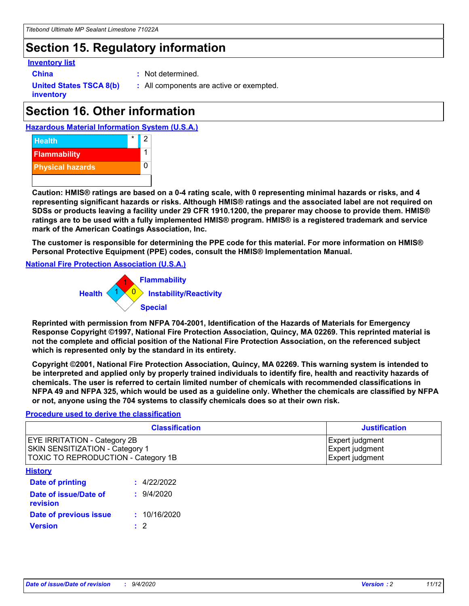## **Section 15. Regulatory information**

### **Inventory list**

- 
- **China :** Not determined.

**United States TSCA 8(b) inventory**

**:** All components are active or exempted.

## **Section 16. Other information**

**Hazardous Material Information System (U.S.A.)**



**Caution: HMIS® ratings are based on a 0-4 rating scale, with 0 representing minimal hazards or risks, and 4 representing significant hazards or risks. Although HMIS® ratings and the associated label are not required on SDSs or products leaving a facility under 29 CFR 1910.1200, the preparer may choose to provide them. HMIS® ratings are to be used with a fully implemented HMIS® program. HMIS® is a registered trademark and service mark of the American Coatings Association, Inc.**

**The customer is responsible for determining the PPE code for this material. For more information on HMIS® Personal Protective Equipment (PPE) codes, consult the HMIS® Implementation Manual.**

**National Fire Protection Association (U.S.A.)**



**Reprinted with permission from NFPA 704-2001, Identification of the Hazards of Materials for Emergency Response Copyright ©1997, National Fire Protection Association, Quincy, MA 02269. This reprinted material is not the complete and official position of the National Fire Protection Association, on the referenced subject which is represented only by the standard in its entirety.**

**Copyright ©2001, National Fire Protection Association, Quincy, MA 02269. This warning system is intended to be interpreted and applied only by properly trained individuals to identify fire, health and reactivity hazards of chemicals. The user is referred to certain limited number of chemicals with recommended classifications in NFPA 49 and NFPA 325, which would be used as a guideline only. Whether the chemicals are classified by NFPA or not, anyone using the 704 systems to classify chemicals does so at their own risk.**

### **Procedure used to derive the classification**

| <b>Classification</b>                                                                                         | <b>Justification</b>                                  |
|---------------------------------------------------------------------------------------------------------------|-------------------------------------------------------|
| <b>EYE IRRITATION - Category 2B</b><br>SKIN SENSITIZATION - Category 1<br>TOXIC TO REPRODUCTION - Category 1B | Expert judgment<br>Expert judgment<br>Expert judgment |
| <b>History</b>                                                                                                |                                                       |

| <u>.</u>                          |              |
|-----------------------------------|--------------|
| <b>Date of printing</b>           | : 4/22/2022  |
| Date of issue/Date of<br>revision | 9/4/2020     |
| <b>Date of previous issue</b>     | : 10/16/2020 |
| <b>Version</b>                    | $\cdot$ 2    |
|                                   |              |